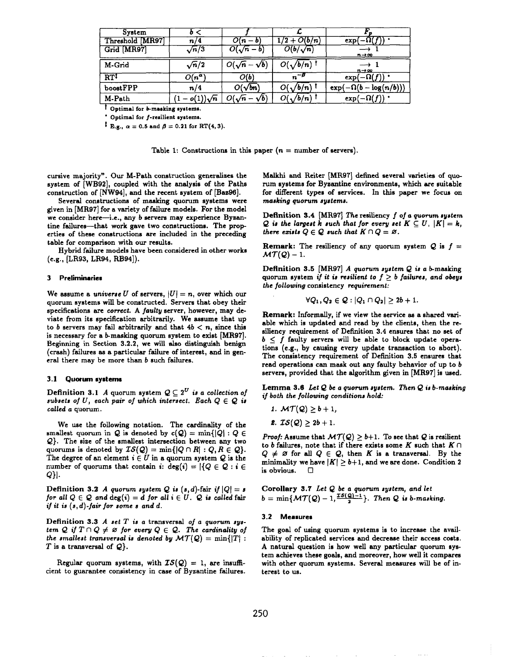| System          |                 |                            |                            |                              |
|-----------------|-----------------|----------------------------|----------------------------|------------------------------|
| Threshold MR97  | 73.             |                            | $(2 + O(b/n))$             | exp                          |
| Grid [MR97]     | $\sqrt{n}/3$    | $\overline{O(\sqrt{n}-b)}$ | $\overline{O(b/\sqrt{n})}$ | $n\rightarrow\infty$         |
| M-Grid          | $\sqrt{n}/2$    | $O(\sqrt{n}-\sqrt{b})$     | $O(\sqrt{b/n})$            | $n \rightarrow \infty$       |
| $RT^{\ddagger}$ | $O(n^{\alpha})$ | O(b)                       | $n^{-\beta}$               | $\exp(-\Omega(f))$ .         |
| boostFPP        | n/4             | $O(\sqrt{bn})$             | $O(\sqrt{b/n})$            | $\exp(-\Omega(b-\log(n/b)))$ |
| M-Path          |                 | $-\sqrt{b}$                | $O(\sqrt{b/n})$            | $\exp(-\Omega(f))$ .         |

*t* Optimal for *b*-masking systems.

\* Optimal for f-resilient systems.

 ${}^{1}$  E.g.,  $\alpha = 0.5$  and  $\beta = 0.21$  for RT(4, 3).

Table 1: Constructions in this paper  $(n = number of servers)$ .

cursive majority". Our M-Path construction generalises the system of [WB92], coupled with the analysis of the Paths construction of [NW94], and the recent system of [Baz96].

Several constructions of masking quorum systems were given in [MR97] for a variety of failure models. For the model we consider here-i.e., any b servers may experience Byzantine failures-that work gave two constructions. The prop**erties** of these constructions are included in the preceding table for comparison with our results.

Hybrid failure models have been considered in other works (e.g., [LR93, LR94, RB94]).

# 3 **Preliminaries**

We assume a *universe U* of servers,  $|U| = n$ , over which our quorum systems will be constructed, Servers that obey their specifications are correct. A faulty server, however, may de**viate from** its **specification arbitrarily. We assume** that up to *b* servers may fail arbitrarily and that  $4b < n$ , since this is necessary for a &masking quorum system to exist [MR97]. Beginning in Section 3.2.2, we will also distinguish benign (crash) failures as a particular failure of interest, end in general there may be more than b such failures.

### 3.1 **Quorum systems**

**Definition** 3.1 *A* quorum system  $Q \subseteq 2^U$  is a collection of subsets of  $U$ , each pair of which intersect. Each  $Q \in \mathcal{Q}$  is *called a* quorum.

We use the following notation. The cardinality of the smallest quorum in Q is denoted by  $c(Q) = \min\{|Q| : Q \in$ Q}. The size of the smallest intersection between any two quorums is denoted by  $IS(Q) = \min\{|Q \cap R| : Q, R \in Q\}.$ The degree of an element  $i \in U$  in a quorum system  $Q$  is the number of quorums that contain  $i: deg(i) = |\{Q \in \mathcal{Q} : i \in$ Q}l.

Definition 3.2 A *quorum* system *Q* is  $(s, d)$ -fair if  $|Q| = s$ *for* all  $Q \in \mathcal{Q}$  and  $deg(i) = d$  *for* all  $i \in U$ .  $\mathcal{Q}$  is called fair *if it is (s, d)-fair for some a and d.*

**Definition 3.3** *A aet T is a* transversal of a *quorum nyltem*  $Q$  *if*  $T \cap Q \neq \emptyset$  *for every*  $Q \in Q$ *. The cardinality of the smallest transversal is denoted by*  $MT(Q) = min\{|T|$  : *T* is a transversal of  $Q$ .

Regular quorum systems, with  $IS(Q) = 1$ , are insufficient to guarantee consistency in case of Byzantine failures.

**Malkbi and** Reiter [MR97] defined several varieties of quorum systems for Byzantine environments, which are suitable for different types of services. In this paper we focus on ma~king *quorum ayatema.*

Definition 3.4 [MR97] *The* resiliency f of a *quorum system Q* is the largest  $k$  such that for every set  $K \subseteq U$ ,  $|K| = k$ , *there exists*  $Q \in \mathcal{Q}$  *such that*  $K \cap Q = \emptyset$ .

**Remark:** The resiliency of any quorum system  $Q$  is  $f =$  $MT(Q) - 1$ .

**Definition** 3.5 [MR97] *A quorum system*  $Q$  *is a b*-masking quorum system if it is resilient to  $f \geq b$  failures, and obeys *the* foilowing consistency *requirement:*

$$
\forall Q_1, Q_2 \in \mathcal{Q}: |Q_1 \cap Q_2| \geq 2b+1.
$$

**Remark:** hformally, if we view the service es **a** shared variable which is updated and read by the clients, then the resiliency requirement of Definition 3.4 ensures that no set of  $b \leq f$  faulty servers will be able to block update operations (e.g., by causing every update transection to abort). The consistency requirement of Definition 3.5 ensures that read operations can mask out any faulty behavior of up to *b* servers, provided that the algorithm given in [MR97] is used,

Lemma 3.6 Let Q be a quorum system. Then Q is *b-masking if both the following* conditions *hold:*

- *1.*  $MT(Q) \ge b + 1$ ,
- *2.*  $IS(Q) \geq 2b + 1$ .

*Proof:* Assume that  $\mathcal{MT}(Q) \geq b+1$ . To see that Q is resilient to *b* failures, note that if there exists some  $K$  such that  $K \cap$  $Q \neq \emptyset$  for all  $Q \in Q$ , then *K* is a transversal. By the minimality we have  $|K| \geq b+1$ , and we are done. Condition 2 is obvious.  $\Box$ 

**Corollary 3,7** *Let Q be* a *quorum system, and let*  $b = \min\{MT(Q) - 1, \frac{20(Q-1)}{2}\}.$  Then Q is *b*-masking.

### *3.2* **Measures**

The goal of using quorum systems is to increase the availability of replicated services and decrease their access costs. A natural question is how well any particular quorum system achieves these goals, and moreover, how well it compares with other quorum systems. *Several* measures will be of interest to us.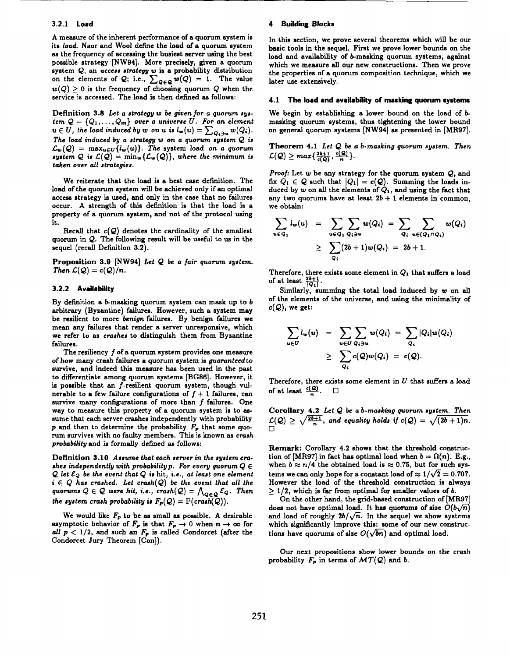### **3.2.1 Load**

**A** measure of the inherent performance of a quorum system is its *load.* Naor and Wool define the load of a quorum system as the frequency of accessing the busiest server using the best possible strategy [NW94]. More precisely, given a quorum system  $Q$ , an access strategy  $w$  is a probability distribution on the elements of Q; i.e.,  $\sum_{Q\in\mathcal{Q}} w(Q) = 1$ . The value  $w(Q) > 0$  is the frequency of choosing quorum Q when the service is accessed. The load is then defined as follows:

Definition 3.8 Let a strategy w be given for a quorum sys $term Q = \{Q_1, \ldots, Q_m\}$  over a universe *U.* For an element  $u \in U$ , the load induced by *w* on *u* is  $l_w(u) = \sum_{Q_i \ni u} w(Q_i)$ . *The load induced by a strategy w on a quorum a~atem Q* is  $\mathcal{L}_{\mathbf{w}}(\mathcal{Q}) = \max_{u \in U} \{l_{\mathbf{w}}(u)\}.$  The system load on a quorum system Q is  $\mathcal{L}(Q) = \min_{w} \{ \mathcal{L}_w(Q) \}$ , where the minimum is *taken over all atrategiea.*

**We** reiterate that the load is a best case definition. The load of the quorum system will be achieved only if an optimal access strategy is used, and only in the case that no failures occur. A strength of this definition is that the load is a property of a quorum system, and not of the protocol using it.

Recall that  $c(Q)$  denotes the cardinality of the smallest **quorum in Q. The following result will be useful to us in the sequel (recall Definition 3.2).**

**Proposition 3.9 [NW94]** LetQ *be a* fair *quorum system. Then*  $\mathcal{L}(\mathcal{Q}) = c(\mathcal{Q})/n$ .

### *3.2.2* **Availability**

By definition a *b*-masking quorum system can mask up to *b* arbitrary (Byzantine) failures. However, such a system may be resilient to more benign failures. By benign failures we mean any failures that render a server unresponsive, which we refer to as *craahes* **to** distinguish them from Byzantine failures.

The resiliency  $f$  of a quorum system provides one measure of how many crash failures a quorum system is *guamnteed* **to survive,** and indeed this measure has been used in the past to differentiate among quorum systems [BG86]. However, it is possible that an f-resilient quorum system, though vulnerable to a few failure configurations of  $f + 1$  failures, can survive many configurations of more than  $f$  failures. One way to measure this property of a quorum system is to assume that each server crashes independently with probability p and then to determine the probability  $F_p$  that some quomm survives with no faulty members. This is known as *crash probability* and is formally defined as follows:

Definition 3.10 Assume that each server in the system cra*ahes* independently with probability p. For every quorum  $Q \in$ *Q iet &Q be the event that Q is* hit, i.e., *at least one element*  $i \in Q$  *has crashed.* Let *crash* $(Q)$  *be the event that all the*  $q$  *uorums*  $Q \in \mathcal{Q}$  *were hit, i.e.,*  $crash(\mathcal{Q}) = \bigwedge_{Q \in \mathcal{Q}} \mathcal{E}_Q$ . Then *the system crash probability is*  $F_p(Q) = \mathbb{P}(crash(Q)).$ 

We would like  $F_p$  to be as small as possible. A desirable **asymptotic** behavior of  $F_p$  is that  $F_p \to 0$  when  $n \to \infty$  for *all*  $p < 1/2$ , and such an  $F_p$  is called Condorcet (after the Condorcet **Jury Theorem [Con]).**

#### *4* Building **Blocks**

In this section, we prove several theorems which will be our basic tools in the sequel. First we prove lower bounds on the load and availability of b-masking quorum systems, against which we measure all our new constructions. Then we prove the properties of a quorum composition technique, which we later use extensively.

# **4.1 The Iocd and availability of masking quorum systems**

**We** begin by establishing a lower bound on the load of b masking quorum systems, thus tightening the lower bound on general quorum systems [NW94] as presented in [MR97].

**Theorem 4.1** *Let Q be a b*-masking *quorum* system. Then  $\mathcal{L}(\mathcal{Q}) \geq max\{\frac{2b+1}{c}, \frac{c(\mathcal{Q})}{n}\}.$ 

*Proof:* Let w be any strategy for the quorum system Q, and fix  $Q_1 \in \mathcal{Q}$  such that  $|Q_1| = c(\mathcal{Q})$ . Summing the loads induced by w on all the elements of  $Q_1$ , and using the fact that any two quorums have at least  $2b + 1$  elements in common, we obtain:

$$
\sum_{u \in Q_1} l_w(u) = \sum_{u \in Q_1} \sum_{Q_i \ni u} w(Q_i) = \sum_{Q_i} \sum_{u \in (Q_1 \cap Q_i)} w(Q_i)
$$
  
 
$$
\geq \sum_{Q_i} (2b+1)w(Q_i) = 2b+1.
$$

Therefore, there exists some element in  $Q_1$  that suffers a load of at least  $\frac{2b+1}{|Q_1|}$ .

Similarly, summing the total load induced by w on all of the elements of the universe, and using the minimality of  $c(Q)$ , we get:

$$
\sum_{u \in U} l_w(u) = \sum_{u \in U} \sum_{Q_i \ni u} w(Q_i) = \sum_{Q_i} |Q_i| w(Q_i)
$$
  
 
$$
\geq \sum_{Q_i} c(Q) w(Q_i) = c(Q).
$$

Therefore, there exists some element in  $U$  that suffers a load of at least  $\frac{d(Q)}{P}$ .  $\Box$ 

**Corollary 4.2** *Let Q be a b-maaking quorum Jyatem. Then*  $\mathcal{L}(\mathcal{Q}) \geq \sqrt{\frac{2\mathfrak{o}+1}{n}}$ , and equality holds if  $c(\mathcal{Q}) = \sqrt{2\mathfrak{o}}$ .  $\Box$ 

Remark: Corollary 4.2 shows that the threshold construction of [MR97] in fact has optimal load when  $b = \Omega(n)$ . E.g., when  $b \approx n/4$  the obtained load is  $\approx 0.75$ , but for such systems we can only hope for a constant load of  $\approx 1/\sqrt{2} = 0.707$ . However the load of the threshold construction is always  $\geq 1/2$ , which is far from optimal for smaller values of *b*.

On the other hand, the grid-based construction of [MR97] does not have optimal load. It has quorums of size  $O(b\sqrt{n})$ and load of roughly  $2b/\sqrt{n}$ . In the sequel we show systems which significantly improve this: some of our new constructions have quorums of size  $O(\sqrt{bn})$  and optimal load.

Our next propositions show lower bounds on the crash probability  $F_p$  in terms of  $MT(Q)$  and *b*.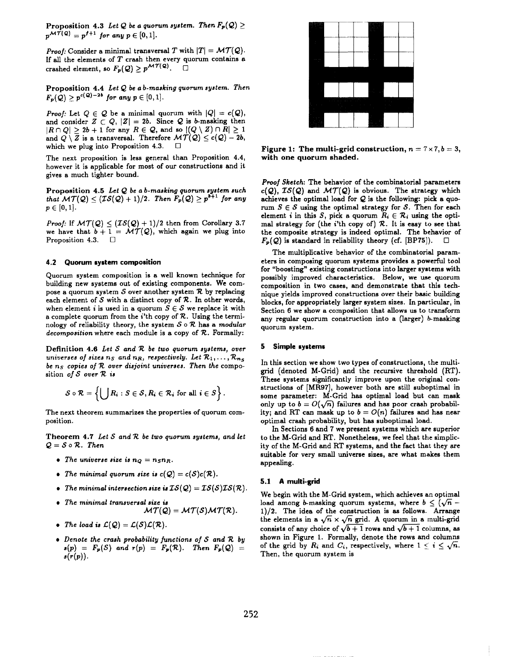Proposition 4.3 Let Q be a quorum system. Then  $F_p(Q) \geq$  $p^{\mathcal{MT}(Q)} = p^{f+1}$  *for any*  $p \in [0,1].$ 

*Proof:* Consider a minimal transversal T with  $|T| = \mathcal{MT}(\mathcal{Q})$ . If all the elements of *T* crash then every quorum contains a crashed element, so  $F_p(Q) \geq p^{\mathcal{MT}(Q)}$ .

Proposition 4.4 Let Q be a *b*-masking quorum system. Then  $F_p(Q) \ge p^{c(Q)-2b}$  *for any*  $p \in [0,1].$ 

*Proof:* Let  $Q \in \mathcal{Q}$  be a minimal quorum with  $|Q| = c(\mathcal{Q})$ and consider  $Z \subset Q$ ,  $|Z|=2b$ . Since  $Q$  is *b*-masking then  $|R \cap Q| \geq 2b+1$  for any  $R \in Q$ , and so  $|(Q \setminus Z) \cap R| \geq 1$ and  $Q \setminus Z$  is a transversal. Therefore  $\mathcal{MT}(Q) \leq c(Q) - 2b$ , which we plug into Proposition 4.3.  $\Box$ 

The next proposition is less general than Proposition 4.4, however it is applicable for most of our constructions and it gives a much tighter bound.

Proposition 4.!5 *Let Q be a b-maaking quorum system such that*  $\mathcal{MT}(\mathcal{Q}) \leq (\mathcal{IS}(\mathcal{Q}) + 1)/2$ . Then  $F_p(\mathcal{Q}) \geq p^{b+1}$  for any  $p\in[0,1].$ 

*Proof:* If  $MT(Q) \leq (TS(Q) + 1)/2$  then from Corollary 3.7 we have that  $b + 1 = \mathcal{MT}(Q)$ , which again we plug into Proposition 4.3. ❑

#### *4.2* **Quorum system composition**

Quorum system composition is a well known technique for building new systems out of existing components. We compose a quorum system  $S$  over another system  $R$  by replacing each element of  $S$  with a distinct copy of  $R$ . In other words, when element *i* is used in a quorum  $S \in \mathcal{S}$  we replace it with a complete quorum from the  $i'$ th copy of  $R$ . Using the terminology of reliability theory, the system  $S \circ \mathcal{R}$  has a *modular* decomposition where each module is a copy of  $R$ . Formally:

Definition 4.6 *Let S and 7? be two quorum systemn, over universes* of *sizes*  $n_S$  *and*  $n_R$ *, respectively. Let*  $\mathcal{R}_1, \ldots, \mathcal{R}_{n_S}$ *be ns copies of R over disjoint* universes. *Then the* composition of  $S$  over  $R$  is

$$
S\circ \mathcal{R} = \left\{\bigcup R_i : S \in \mathcal{S}, R_i \in \mathcal{R}_i \text{ for all } i \in S\right\}.
$$

The next theorem summarizes the properties of quorum composition.

Theorem 4.7 Let *S* and *R* be two quorum systems, and let  $Q = S \circ R$ . *Then* 

- The universe size is  $n_Q = n_S n_R$ .
- The minimal quorum size is  $c(Q) = c(S)c(R)$ .
- The minimal intersection size is  $IS(Q) = IS(S)IS(R)$ .
- *The* **minimal** *tranaveraal* mize in M7(Q) = *MT(S) M7(7?).*
- The load is  $\mathcal{L}(\mathcal{Q}) = \mathcal{L}(\mathcal{S})\mathcal{L}(\mathcal{R})$ .
- $\bullet$  *Denote the crash probability functions of S* and *R by*  $s(p) = F_p(S)$  *and*  $r(p) = F_p(R)$ . *Then*  $F_p(Q) =$  $s(r(p)).$



Figure 1: The multi-grid construction,  $n = 7 \times 7$ ,  $b = 3$ , with one quorum shaded.

*Proof Sketch:* The behavior of the combinatorial parameters  $c(Q)$ ,  $IS(Q)$  and  $MT(Q)$  is obvious. The strategy which **achieves** the optimal load for Q is the following: pick **a** quorum  $S \in \mathcal{S}$  using the optimal strategy for  $\mathcal{S}$ . Then for each element *i* in this S, pick a quorum  $R_i \in \mathcal{R}_i$  using the optimal strategy for (the  $i$ 'th copy of)  $R$ . It is easy to see that the composite strategy is indeed optimal. The behavior of  $F_p(Q)$  is standard in reliability theory (cf. [BP75]).  $\Box$ 

The multiplicative behavior of the combinatorial parameters in composing quorum systems provides a powerfid tool for "boosting" existing constructions into larger systems with possibly improved characteristics. Below, we use quorum composition in two cases, and demonstrate that this technique yields improved constructions over their basic building blocks, for appropriately larger system sizes. In particular, in Section 6 we show a composition that allows us to transform any *regular* quorum construction into a (larger) *h* masking quorum system.

#### 5 **Simple systems**

In this section we show two types of constructions, the multigrid (denoted M-Grid) and the recursive threshold (RT). These systems significantly improve upon the original constructions of [MR97], however both are still suboptimal in some parameter: M-Grid has optimal load but can mask only up to  $b = O(\sqrt{n})$  failures and has poor crash probability; and RT can mask up to  $b = O(n)$  failures and has near optimal crash probability, but has suboptimal load.

In Sections 6 and 7 we present systems which are superior to the M-Grid and RT. Nonetheless, we feel that the simplicity of the M-Grid and RT systems, and the fact that they are suitable for very small universe sizes, are what makes them appealing.

### **5.1 A multi-grid**

We begin with the M-Grid system, which achieves an optimal load among *b*-masking quorum systems, where  $b \leq (\sqrt{n} -$ 1)/2. The idea of the construction is as follows. Arrange the elements in a  $\sqrt{n} \times \sqrt{n}$  grid. A quorum in a multi-grid consists of any choice of  $\sqrt{b+1}$  rows and  $\sqrt{b+1}$  columns, as shown in Figure 1. Formally, denote the rows and columns of the grid by  $R_i$  and  $C_i$ , respectively, where  $1 \leq i \leq \sqrt{n}$ . Then, the quorum system is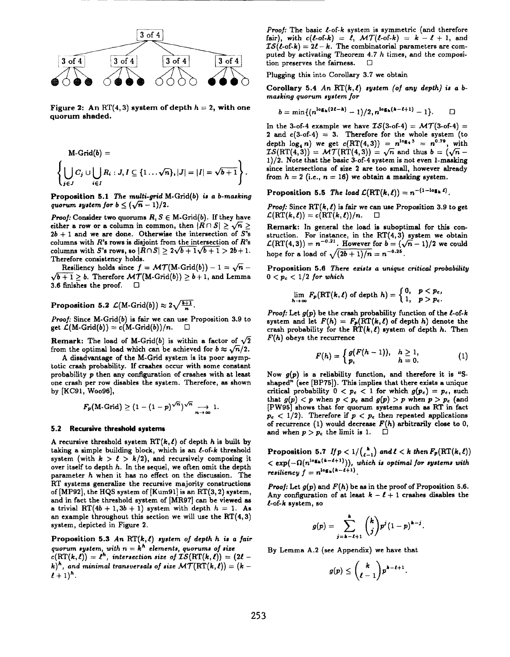

**Figure 2:** An RT(4,3) system of depth  $h = 2$ , with one quorum shaded.

$$
\mathsf{M}\text{-}\mathsf{Grid}(b) = \left\{\bigcup_{j\in J} C_j \cup \bigcup_{i\in I} R_i : J, I \subseteq \{1 \dots \sqrt{n}\}, |J| = |I| = \sqrt{b+1}\right\}.
$$

Proposition 5.1 The multi-grid **M-Grid(b) is a b-masking quorum system** for  $b \leq (\sqrt{n} - 1)/2$ .

*Proof:* Consider two quorums  $R, S \in M$ -Grid(b). If they have either a row or a column in common, then  $|R \cap S| \geq \sqrt{n} \geq 1$  $2b + 1$  and we are done. Otherwise the intersection of  $S$ 's columns with *R's* rows is disjoint from the intersection of R's columns with S's rows, so  $|R \cap S| \geq 2\sqrt{b+1}\sqrt{b+1} > 2b+1$ . Therefore consistency holds.

Resiliency holds since  $f = \mathcal{MT}(M\text{-}\text{Grid}(b)) - 1 = \sqrt{n} \sqrt{b+1} \geq b$ . Therefore  $\mathcal{MT}(M\text{-}Grid(b)) \geq b+1$ , and Lemma 3.6 finishes the proof.  $\square$ 

# Proposition 5.2  $\mathcal{L}(M\text{-}\text{Grid}(b)) \approx 2\sqrt{\frac{b+1}{n}}$ .

Proof: Since M-Grid $(b)$  is fair we can use Proposition 3.9 to get  $\mathcal{L}(M\text{-}\mathrm{Grid}(b)) = c(M\text{-}\mathrm{Grid}(b))/n. \quad \Box$ 

**Remark:** The load of M-Grid(b) is within a factor of  $\sqrt{2}$ from the optimal load which can be achieved for  $b \approx \sqrt{n/2}$ .

A disadvantage of the M-Grid system is its poor asymptotic crash probability. If crashes occur with some constant probability p then any configuration of crashes with at least one crash per row disables the system. Therefore, as shown by [KC91, WO096],

$$
F_p(\text{M-Grid}) \geq (1-(1-p)^{\sqrt{n}})^{\sqrt{n}} \longrightarrow_{n \to \infty} 1.
$$

#### 5.2 **Recursive threshold systems**

A recursive threshold system  $RT(k, \ell)$  of depth h is built by taking a simple building block, which is an  $\ell$ -of-k threshold system (with  $k > l > k/2$ ), and recursively composing it over itself to depth h. In the sequel, we often omit the depth parameter h when it has no effect on the discussion. The RT systems generalize the recursive majority constructions of [MP92], the HQS system of [Kum91] is em RT(3, 2) system, and in fact the threshold system of [MR97] can be viewed as **a** trivial RT $(4b + 1, 3b + 1)$  system with depth  $h = 1$ . As an example throughout this section we will use the  $RT(4, 3)$ system, depicted in Figure 2.

Proposition 5.3 An  $\mathrm{RT}(k, \ell)$  system of depth *h* is a fair *quorum ayatem, with*  $n = k^h$  *elements, quorums of size*  $c(RT(k, \ell)) = \ell^{h}$ , intersection size of  $IS(RT(k, \ell)) = (2\ell - \ell^{h})$ *k*)<sup>*h*</sup>, and minimal transversals of size  $MT(RT(k, \ell)) = (k - \ell)$  $l+1)^h$ .

Proof: The basic  $l$ -of- $k$  system is symmetric (and therefore fair), with  $c(\ell$ -of- $k) = \ell$ ,  $MT(\ell$ -of- $k) = k - \ell + 1$ , and  $\mathcal{IS}(\ell$ -of-k) =  $2\ell - k$ . The combinatorial parameters are computed by activating Theorem 4.7 h times, and the composition preserves the fairness.  $\Box$ 

Plugging this into Corollary 3.7 we obtain

Corollary 5.4 An  $\mathrm{RT}(k, \ell)$  system (of any depth) is a *b*manking *quorum sgatem for*

$$
b=\min\{(n^{\log_{h}(2\ell-k)}-1)/2,n^{\log_{h}(k-\ell+1)}-1\}.\qquad \Box
$$

In the 3-of-4 example we have  $IS(3-*of-4*) = \mathcal{MT}(3-*of-4*) =$ 2 and  $c(3-of-4) = 3$ . Therefore for the whole system (to depth  $\log_4 n$ ) we get  $c(RT(4, 3)) = n^{\log_4 3} = n^{0.79}$ , with  $\overline{LS}(\overline{RT(4,3)}) = \overline{MT}(\overline{RT(4,3)}) = \sqrt{n}$  and thus  $b = (\sqrt{n} -$ 1)/2. Note that the basic 3-of-4 system is not even l-masking since intersections of size 2 are too small, however already from  $h = 2$  (i.e.,  $n = 16$ ) we obtain a masking system.

Proposition 5.5 The load  $\mathcal{L}(\mathrm{RT}(k, \ell)) = n^{-(1-\log_k \ell)}$ .

*Proof:* Since  $RT(k, \ell)$  is fair we can use Proposition 3.9 to get  $\mathcal{L}(\text{RT}(k,\ell)) = c(\text{RT}(k,\ell))/n.$  □

Remark: In general the load is suboptimal for this construction. For instance, in the  $RT(4,3)$  system we obtain  $\mathcal{L}(\text{RT}(4,3)) = n^{-0.21}$ . However for  $b = (\sqrt{n}-1)/2$  we could hope for a load of  $\sqrt{(2b+1)/n} = n^{-0.25}$ .

Proposition 5.6 *There ezida a unique critical probability*  $0 < p_c < 1/2$  *for which* 

$$
\lim_{h\to\infty} F_p(\mathrm{RT}(k,\ell) \text{ of depth } h) = \begin{cases} 0, & p < p_c, \\ 1, & p > p_c. \end{cases}
$$

*Proof:* Let  $g(p)$  be the crash probability function of the  $l$ -of-k system and let  $F(h) = F_p(\text{RT}(k, \ell))$  of depth h) denote the crash probability for the RT $(k, \ell)$  system of depth h. Then  $F(h)$  obeys the recurrence

$$
F(h) = \begin{cases} g(F(h-1)), & h \ge 1, \\ p, & h = 0. \end{cases}
$$
 (1)

Now  $g(p)$  is a reliability function, and therefore it is "Sshaped" (see  $[BP75]$ ). This implies that there exists a unique critical probability  $0 < p_c < 1$  for which  $g(p_c) = p_c$ , such that  $g(p) < p$  when  $p < p_c$  and  $g(p) > p$  when  $p > p_c$  (and [PW95] shows that for quorum systems such es RT in fact  $p_c < 1/2$ ). Therefore if  $p < p_c$  then repeated applications of recurrence **(1) would decrease F(h) arbitrarily close to O,** and when  $p > p_c$  the limit is 1.  $\Box$ 

**Proposition** 5.7 If  $p < 1/{\binom{k}{\ell-1}}$  and  $\ell < k$  then  $F_p(\text{RT}(k, \ell))$  $<$  **e**xp( $-\Omega(n^{\log_{h}(k-\ell+1)}))$ , which is optimal for systems with resiliency  $f = n^{\log_{h}(n-\ell+1)}$ 

*Proof:* Let g(p) and *F(h)* be as in the proof of Proposition *5.6.* Any configuration of at least  $k - \ell + 1$  crashes disables the  $l$ -of-k system, so

$$
g(p) = \sum_{j=k-\ell+1}^{k} {k \choose j} p^{j} (1-p)^{k-j}.
$$

By **Lemma A.2 (see Appendix) we have that**

$$
g(p)\leq {k\choose \ell-1}p^{k-\ell+1}.
$$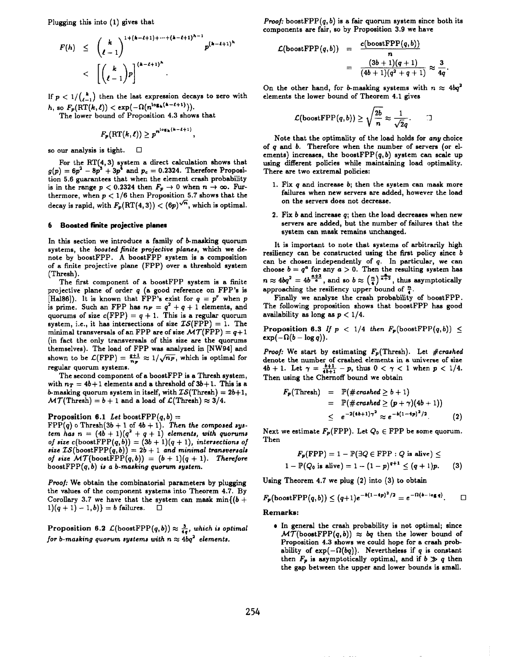Plugging this into (1) gives that

$$
F(h) \leq {k \choose \ell-1}^{1+(k-\ell+1)+\cdots+(k-\ell+1)^{h-1}} p^{(k-\ell+1)^{h}}
$$
  
< 
$$
< {k \choose \ell-1} p \Big]^{(k-\ell+1)^{h}}
$$

If  $p < 1/{\binom{k}{\ell-1}}$  then the last expression decays to zero with h, so  $F_p(\mathrm{RT}(k,\ell)) < \exp(-\Omega(n^{\log_k(k-\ell+1)})).$ 

The lower bound of Proposition 4.3 shows that

$$
F_p(\mathrm{RT}(k,\ell)) \geq p^{n^{\log_k(k-\ell+1)}},
$$

so our analysis is tight.  $\Box$ 

For the  $RT(4, 3)$  system a direct calculation shows that  $g(p) = 6p^2 - 8p^3 + 3p^4$  and  $p_c = 0.2324$ . Therefore Proposition tion 5.6 guarantees that when the element crash probability is in the range  $p < 0.2324$  then  $F_p \rightarrow 0$  when  $n \rightarrow \infty$ . Furthermore, when  $p < 1/6$  then Proposition 5.7 shows that the decay is rapid, with  $F_p(\text{RT}(4,3)) < (6p)^{\sqrt{n}}$ , which is optimal.

### 6 Boosted **finite** projective planes

In this section we introduce a family of *b*-masking quorum systems, the *boonted finite projective planes, which we* denote by boostFPP. A boostFPP system is a composition of a finite projective plane (FPP) over a threshold system (Thresh).

The first component of a boostFPP system ie a finite projective plane of order *q (a* good reference on FPP's is [Hal86]). It is known that FPP's exist for  $q = p^r$  when *p* is prime. Such an FPP has  $n_F = q^2 + q + 1$  elements, and **quorums of size c(FPP) =** *q +* 1. **This is a regular quorum system,** i.e., it has intersections of size  $IS(FPP) = 1$ . The minimal transversals of an FPP are of size  $\mathcal{MT}(FPP) = q+1$ (in fact the only transversals of this size are the quorums themselves). The load of FPP was analyzed in [NW94] and shown to be  $\mathcal{L}(FPP) = \frac{g+1}{n_F} \approx 1/\sqrt{n_F}$ , which is optimal for regular quorum systems.

The second component of a boostFPP is a Thresh system, with  $n_T = 4b+1$  elements and a threshold of  $3b+1$ . This is a b-masking quorum system in itself, with  $TS(Thresh) = 2b+1$ ,  $\mathcal{MT}(\text{Thresh}) = b + 1$  and a load of  $\mathcal{L}(\text{Thresh}) \approx 3/4$ .

# Proposition 6.1 Let boostFPP $(q, b)$  =

 $FPP(q)$  o Thresh $(3b + 1$  of  $4b + 1)$ . *Then the composed sys*tem has  $n = (4b + 1)(q^2 + q + 1)$  elements, with quorum of size  $c(\text{boostFPP}(q, b)) = (3b + 1)(q + 1)$ , intersections of  $size \; \mathcal{IS}(\text{boostFPP}(q, b)) = 2b + 1$  and minimal transversals of size  $MT(boostFPP(q, b)) = (b + 1)(q + 1)$ . Therefore  $\text{boostFPP}(q, b)$  is a *b*-masking quorum system.

*Prooj:* We obtain the combinatorial parameters by plugging the values of the component systems into Theorem 4.7. By Corollary 3.7 we have that the system can mask min $\{(b +$  $1((q + 1) - 1, b)$ } = *b* failures.  $\Box$ 

Proposition 6.2  $\mathcal{L}(\text{boostFPP}(q, b)) \approx \frac{3}{4q}$ , which is optimal *for b*-masking quorum systems with  $n \approx 4bq^2$  elements.

*Proof:* boostFPP $(q, b)$  is a fair quorum system since both its components are fair, so by Proposition 3.9 we have

$$
\mathcal{L}(\text{boostFPP}(q,b)) = \frac{c(\text{boostFPP}(q,b))}{n}
$$

$$
= \frac{(3b+1)(q+1)}{(4b+1)(q^2+q+1)} \approx \frac{3}{4q}.
$$

On the other hand, for *b*-masking systems with  $n \approx 4bq^2$ **elements** the lower bound of Theorem 4.1 gives

$$
C(\text{boostFPP}(q,b)) \geq \sqrt{\frac{2b}{n}} \approx \frac{1}{\sqrt{2}q}.\qquad \Box
$$

Note that the optimality of the load holds for any choice of *q* and *b.* Therefore when the number of servers (or elements) increases, the boostFPP $(q, b)$  system can scale up using different policies while maintaining load optimality. There are two extremal policies:

- 1. FIX *q* and increase *b;* then the system can mask more failures when new servers are added, however the load on the servers does not decrease.
- *2.* FIX *b* and increase *q;* then the load decreases when new servers are added, but the number of failures that the system can mask remains unchanged,

It is important to note that systems of arbitrarily high resiliency can be constructed using the first policy since *b can* be chosen independently of *q.* In particular, we can choose  $b = q^a$  for any  $a > 0$ . Then the resulting system has  $n \approx 4bq^2 = 4b^{\frac{a+3}{a}}$ , and so  $b \approx (\frac{n}{4})^{\frac{a}{a+2}}$ , thus asymptotically approaching the resiliency upper bound of  $\frac{n}{4}$ .

Finally we analyze the crash probability of boostFPP. The following proposition shows that boostFPP has good availability as long as  $p < 1/4$ .

Proposition 6.3 If  $p < 1/4$  then  $F_p(\text{boostFPP}(q, b)) \leq$  $\exp(-\Omega(b - \log q)).$ 

*Proof:* We start by estimating  $F_p$ (Thresh). Let #crashed denote the number of crashed elements in a universe of size  $4b+1$ . Let  $\gamma=\frac{b+1}{4b+1}-p$ , thus  $0<\gamma<1$  when  $p< 1/4$ . Then using the Chernoff bound we obtain

$$
F_p(\text{Thresh}) = \mathbb{P}(\text{\#crashed} \geq b+1)
$$
  
= 
$$
\mathbb{P}(\text{\#crashed} \geq (p+\gamma)(4b+1))
$$
  

$$
\leq e^{-2(4b+1)\gamma^2} \approx e^{-b(1-4p)^2/2}.
$$
 (2)

Next we estimate  $F_p(\text{FPP})$ . Let  $Q_0 \in \text{FPP}$  be some quorum. Then

$$
F_p(\text{FPP}) = 1 - \mathbb{P}(\exists Q \in \text{FPP} : Q \text{ is alive}) \le
$$
  
1 - \mathbb{P}(Q\_0 \text{ is alive}) = 1 - (1 - p)^{q+1} \leq (q + 1)p. (3)

Using Theorem 4.7 we plug (2) into (3) to obtain

$$
F_p\big(\text{boostFPP}(q,b)\big)\leq (q+1)e^{-b(1-4p)^2/2}=e^{-\Omega(b-\log q)}.\qquad \Box
$$

# **Remarks:**

● In general the crash probability is not optimal; since  $\mathcal{MT}(\text{boostFPP}(q, b)) \approx bq$  then the lower bound of Proposition 4.3 shows we could hope for a crash probability of  $exp(-\Omega(bq))$ . Nevertheless if *q* is constant then  $F_p$  is asymptotically optimal, and if  $b \gg q$  then the gap between the upper and lower bounds is small.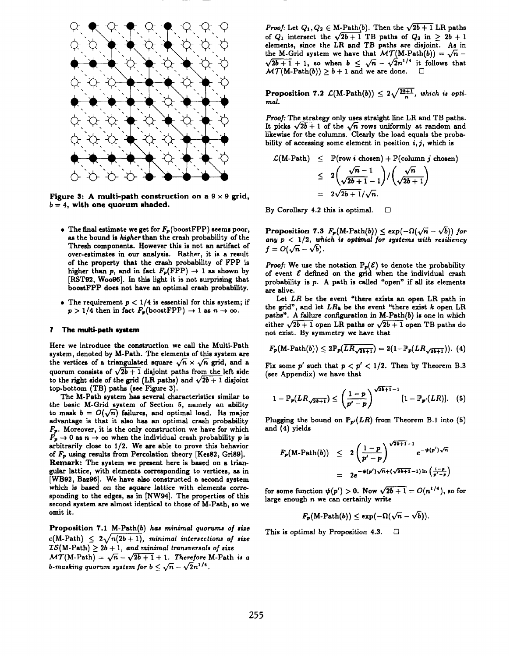

Figure 3: A multi-path construction on a  $9 \times 9$  grid,  $b=4$ , with one quorum shaded.

- The final estimate we get for  $F_p$  (boost FPP) seems poor, as the bound is *higher* than the crash probability of the Thresh components. However this is not an artifact of over-estimates in our analysis. Rather, it is a result of the property that the crash probability of FPP is higher than *p*, and in fact  $F_p(\overrightarrow{FPP}) \rightarrow 1$  as shown by [RST92, Woo96]. In this light it is not surprising that boostFPP does not have an optimal crash probability.
- The requirement  $p < 1/4$  is essential for this system; if  $p > 1/4$  then in fact  $F_p(\text{boostFPP}) \rightarrow 1$  as  $n \rightarrow \infty$ .

#### 7 **The multi-path** system

**Here we introduce the construction we call** the Multi-Path system, denoted by M-Path. The elements of this system are the vertices of a triangulated square  $\sqrt{n} \times \sqrt{n}$  grid, and a quorum consists of  $\sqrt{2b+1}$  disjoint paths from the left side to the right side of the grid (LR paths) and  $\sqrt{2b+1}$  disjoint  $top\text{-}bottom (TB) paths (see Figure 3).$ 

**The M-Path system has several characteristics similar to** the basic M-Grid system of Section 5, **namely an ability** to mask  $b = O(\sqrt{n})$  failures, and optimal load. Its major advantage is that it also has an optimal crash probability  $F_p$ . Moreover, it is the only construction we have for which  $F_p \rightarrow 0$  as  $n \rightarrow \infty$  when the individual crash probability *p* is arbitrarily close to 1/2. We are able to prove this behavior of *FP* using results from Percolation theory [Kes82, Gri89]. Remark: The system we present here is based on a triangular lattice, with elements corresponding to vertices, as in [WB92, Baz96]. We have also constructed a second system which is based on the square lattice with elements corresponding to the edges, as in [NW94]. The properties of this second system are almost identical to those of M-Path, so we omit it.

Proposition 7.1 M-Path(b) has minimal *quorums of size*  $c(M-Path) \leq 2\sqrt{n(2b+1)}$ , minimal intersections of size  $LS(M-Path) \geq 2b + 1$ , and minimal transversals of size  $\mathcal{MT}(M\text{-Path}) = \sqrt{n} - \sqrt{2b+1} + 1$ . Therefore M-Path is a *b*-masking quorum system for  $b \leq \sqrt{n} - \sqrt{2n^{1/4}}$ .

*Proof:* Let  $Q_1, Q_2 \in M$ -Path $(b)$ . Then the  $\sqrt{2b+1}$  LR paths of  $Q_1$  intersect the  $\sqrt{2b+1}$  TB paths of  $Q_2$  in  $> 2b+1$ elements, since **the LR and TB paths are disjoint. As in** the M-Grid system we have that  $MT(M-Path(b)) = \sqrt{n}$  $\sqrt{2b+1}$  + 1, so when  $b \leq \sqrt{n} - \sqrt{2n^{1/4}}$  it follows that  $\mathcal{MT}(M\text{-Path}(b)) \geq b+1$  and we are done.  $\Box$ 

**Proposition 7.2**  $\mathcal{L}(M\text{-Path}(b)) \leq 2\sqrt{\frac{2b+1}{n}}$ , which is opti*mal.*

*Proof:* The strategy only uses straight line LR and TB paths. It picks  $\sqrt{2b+1}$  of the  $\sqrt{n}$  rows uniformly at random and likewise for the columns. Clearly the load equals the probability of accessing some element in position  $i, j$ , which is

$$
\mathcal{L}(\text{M-Path}) \leq \mathbb{P}(\text{row } i \text{ chosen}) + \mathbb{P}(\text{column } j \text{ chosen})
$$
\n
$$
\leq 2\left(\frac{\sqrt{n}-1}{\sqrt{2b+1}-1}\right) / \left(\frac{\sqrt{n}}{\sqrt{2b+1}}\right)
$$
\n
$$
= 2\sqrt{2b+1}/\sqrt{n}.
$$

By Corollary 4.2 this is optimal.  $\Box$ 

Proposition 7.3  $F_p(M\text{-Path}(b)) \le \exp(-\Omega(\sqrt{n} - \sqrt{b}))$  for any  $p < 1/2$ , which is optimal for systems with resiliency  $f=O(\sqrt{n}-\sqrt{b}).$ 

*Proof:* We use the notation  $\mathbb{P}_p(\mathcal{E})$  to denote the probability of event  $\mathcal E$  defined on the grid when the individual crash probability is *p.* A path is called "open" if all its elements are alive.

Let *LR* be the event "there exists an open LR path in the grid", and let *LRh* be the event "there exist k open LR paths". A failure configuration in M-Path $(b)$  is one in which either  $\sqrt{2b+1}$  open LR paths or  $\sqrt{2b+1}$  open TB paths do not exist. By symmetry we have that

$$
F_{\mathbf{p}}(\text{M-Path}(b)) \leq 2\mathbb{P}_{\mathbf{p}}(\overline{LR_{\sqrt{2b+1}}}) = 2(1-\mathbb{P}_{\mathbf{p}}(LR_{\sqrt{2b+1}})). \tag{4}
$$

Fix some *p'* such that  $p < p' < 1/2$ . Then by Theorem B.3 (see Appendix) we have that

$$
1-\mathbb{P}_{p}(LR_{\sqrt{2b+1}})\leq \left(\frac{1-p}{p'-p}\right)^{\sqrt{2b+1}-1}\left[1-\mathbb{P}_{p'}(LR)\right].\quad (5)
$$

Plugging the bound on  $P_{p}(LR)$  from Theorem B.1 into (5) and (4) yields

$$
F_p(M\text{-Path}(b)) \leq 2\left(\frac{1-p}{p'-p}\right)^{\sqrt{2b+1}-1}e^{-\psi(p')\sqrt{n}}
$$
  
=  $2e^{-\psi(p')\sqrt{n}+(\sqrt{2b+1}-1)\ln\left(\frac{1-p}{p'-p}\right)}$ 

for some function  $\psi(p') > 0$ . Now  $\sqrt{2b+1} = O(n^{1/4})$ , so for large enough n we can certainly write

$$
F_p(\text{M-Path}(b)) \le \exp(-\Omega(\sqrt{n} - \sqrt{b})).
$$

This is optimal by Proposition 4.3.  $\Box$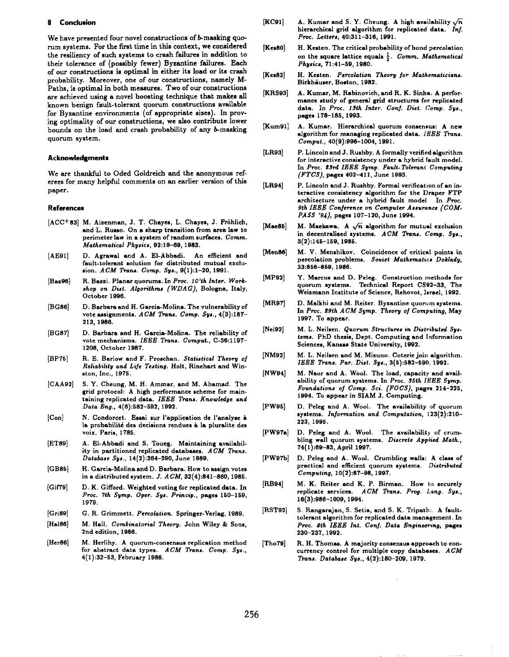#### **8 Conclusion**

We have presented four novel constructions of *b*-masking quorum systems. For the first time in this context, we considered the resiliency of such systems to crash failures in addition to their tolerance of (possibly fewer) Byzantine failures. Each of our constructions is optimal in either its load or its crash probability. Moreover, one of our constructions, namely M-Paths, is optimal in both measures. Two of our constructions are achieved using a novel boosting technique that makes all known benign fault-tolerant quorum constructions available for Byzantine environments (of appropriate sizes). In proving optimality of our constructions, we also contribute lower bounds on the load and crash probability of any b-masking quorum system.

### Acknowledgments

We are thankful to Oded Goldreich and the anonymous referees for many helpful comments on en *earlier* version of this paper.

#### **References**

- [ACC+ 83] **M. Aizenman, J. T. Chayes, L. Chayes, J. Frohlich,** and L. Russo. On a sharp transition from area law to perimeter law in a system of random surfaces. Comm. *Mathematical* Phynicq 92:19-69, 1983.
- [AE91] **D. Agrawal** end A. E1-Abbadi. An efficient and fault-tolemnt solution for distributed mutual exclusion. *ACM Trans. Comp. Sys.*, 9(1):1-20, 1991.
- R. Bazzi. Planar quorums. In *Proc.* 10'th Inter. Work- $[Base96]$ *ehop on* Diet. *Algorithms ( WDA G),* Bologna, Italy, October 1996.
- [BG86] D. Barbara and H. Garcia-Molina. The vulnerability of vote assignments. *ACM Trans. Comp.* Sys., 4(3):187-**213, 1986.**
- [BG87] **D. Barbara** and H. Garcia-Molina. The reliability of vote mechanisms. *IEEE Trans. Comput.*, C-36:1197-1208, October 1987.
- [BP75] R. E. Barlow and F. Proschan. *Statistical Theory of*  $Reliability$  and Life Testing. Holt, Rinehart and Winston, Inc., 1975.
- [CAA92] S. Y. Cheung, M. H. Ammar, and M. Ahamad. The grid protocol: A high performance scheme for maintaining replicated data. IEEE Trans. Knowledge and Data Eng., 4(6):582–592, 1992.
- [Con] N. **Condorcet. Essai sur** I'application de l'analyse h la probabilité des decisions rendues à la pluralite des voix. Paris, 1785.
- [ET89] A. E1-Abbadi and S. Toueg. Maintaining availability in partitioned replicated databases. ACM Trans. *Database Sys., 14(2):264-290,* June 1989.
- [GB85] H. Garcia-Molina **and D. Barbara. How to assign votes in a distributed** system. J. *A CM,* 32(4):841–860, 1985.
- [Gif79] D. K. Gifford. Weighted voting for replicated data. In *Proc. 7th Symp. Oper. Sys. Princip.,* pages 150-159, 1979.
- [Gri89] G. R. Grimmett. Percolation, Springer-Verlag, 1989,
- $[Hal86]$ M. Hall. Combinatorial *Theory.* John Wiley & Sons, 2nd edition, 1986.
- [Her86] M. Herlihy. A quorum-consensus replication method for abstract data types. *ACM Trans. Comp.* Sys., 4(1):32–53, February 1986.
- [KC91] A. Kumar and S. Y. Cheung. A high availability  $\sqrt{n}$ hierarchical grid algorithm for replicated data. *Inf.* Proc. Letters, 40:311-316, 1991.
- **[Kes80]** H. Kesten. The critical probability of bond percolation on the square lattice equals  $\frac{1}{2}$ . Comm. Mathematical *Physic~, 71:41-69, 1980.*
- **[Kes82]** H. Kesten. Percolation *Theory for* Mathematicians. Birkhäuser, Boston, 1982.
- **[KRs93]** A. Kumar, M. Rabinovich, and R. K. Sinha. A performance study of general grid structures for replicated data. In *Proc. 19th Inter. Conf. Diat. Comp. Sya.,* pages 178–185, 1993.
- [Kum91] A. Kumar. Hierarchical quorum consensus: A new algorithm for managing replicated data. *IEEE* Trans. *Comput., 40(9):996-1004, 1991.*
- [LR93] P. Lincoln and J. Rushby. A formally verified algorithm for interactive consistency under a **hybrid** fault model. In *Proc.* ~9rd *IEEE* Symp. *Fault-* Tolerant **Computing** *(FTCS),* **pages** 402-411, June 1993.
- [LR94] P. Lincoln and J. Rushby. Formal verification of an interactive consistency algorithm for the Draper FTP architecture under a hybrid fault model. In *Proc. 9th IEEE Conference on Compute. A ~mwunce (COM-PASS* '94), pages 107-120, June 1994.
- $[Mae85]$ M. Maekawa. A  $\sqrt{n}$  algorithm for mutual exclusion in decentralized systems. ACM Trans. Comp. Sys., **3(2):145-159, 1985.**
- [Men86] M. V. Menshlkov. Coincidence of critical points in percolation problemn. Soviet *Mathematics Doklady, 33:856-869, 1986.*
- [MP92] *Y.* Marcus and D. Peleg. Construction methods for quorum systems. Technical Report CS92-33, The Weizmann Institute of Science, Rehovot, Imael, 1992.
- [MR97] D. Malkhi and M. Reiter. Byaantine quorum systems. In *Proc. 29th ACM Symp. Theory of* Computing, May 1997. To appear.
- [Nei92] M. L. Neilsen. Quorum *Structures* in Distributed Sgs*tema.* PhD thesis, Dept. Computing and Information Sciences, Kansas State University, 1962.
- [NM92] M. L. Neilsen and M. Mizuno. Coterie join algorithm. *IEEE Trans. Par. Dist. Sys.,* 3(5):582-590, 1992.
- [NW94] M. Naor and A. Wool. The load, capacity and *avail*abilityy of quorum systems. In *Proc. 35th IEEE* **Symp.** *Foundation oj Comp. Sci. (FOCS),* **pages 214-225, 1994.** To appear in SIAM J. Computing.
- [PW95] D. Peleg and A. Wool. The availability of quorum systems. *Information and Computation, 123(2):210- 223, 1995.*
- [PW97a] D. Peleg **and A.** Wool, The availability- of crumbling *wall* quorum systems. *Discrete Appiied Math., 74(1):69-83,* **April 1997.**
- [PW97b] **D. Peleg** and A. Wool. Crumbling *walls: A class* of practical and efficient quorum systems. Distributed *Computing, 10(2):87-98, 1997.*
- [RB94] M. K. Reiter and K. P. Birman. How to securely replicate services. ACM Trans. Prog. Lang. Sys., *16(3):986-1009, 1994.*
- [RST92] *S.* Rangarajan, S. Setia, **and S.** K. Tripath. **A fauittolerant algorithm for replicated data management. In** *Proc. 8th IEEE Int. Conj. Data* Engineering, pages 230–237, 1992.
- [Tho79] R. H. Thomas. A majority consensus approach to concurrency control for multiple copy databases. *ACM* !lkans. *Database SYS.,4(2):180-209, 1979.*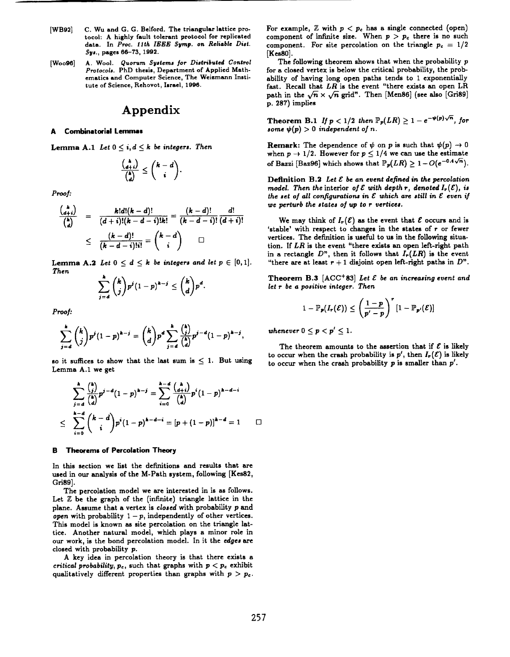- **[WB92] C. Wu and G. G. Belford.** The triangular lattice protocol: A highly **fault** tolerant protocol for replicated **data. In** *Proc. flth IEEE* Sgmp. on *Reliable Dint. SW.,* **pages 60-73, 1992.**
- *[WO096]* **A.** Wool. Quorum *Syatema j.. Didributed Control Protocols.* PhD thesis, Department of Applied Math**ematics** and Computer Science, The Weizmann Institute **of** Science, Rehovot, Israel, 1996.

# **Appendix**

# **A Combinatorial Lemmas**

Lemma A.1 Let  $0 \leq i, d \leq k$  be integers. Then

$$
\frac{\binom{k}{d+i}}{\binom{k}{d}} \leq \binom{k-d}{i}.
$$

*Proof:*

$$
\frac{\binom{k}{d+i}}{\binom{k}{d}} = \frac{k!d!(k-d)!}{(d+i)!(k-d-i)!k!} = \frac{(k-d)!}{(k-d-i)!} \frac{d!}{(d+i)!}
$$
\n
$$
\leq \frac{(k-d)!}{(k-d-i)!i!} = \binom{k-d}{i} \square
$$

Lemma A.2 Let  $0 \leq d \leq k$  be integers and let  $p \in [0,1]$ . *Then*

$$
\sum_{j=d}^k {k \choose j} p^j (1-p)^{k-j} \leq {k \choose d} p^d.
$$

*Proof:*

$$
\sum_{j=d}^k {k \choose j} p^j (1-p)^{k-j} = {k \choose d} p^d \sum_{j=d}^k \frac{{k \choose j}}{{k \choose d}} p^{j-d} (1-p)^{k-j},
$$

so it suffices to show that the last sum is  $\leq 1$ . But using Lemma A.1 we get

$$
\sum_{j=d}^{h} \frac{\binom{h}{j}}{\binom{h}{d}} p^{j-d} (1-p)^{h-j} = \sum_{i=0}^{h-d} \frac{\binom{h}{d+i}}{\binom{h}{d}} p^{i} (1-p)^{h-d-i}
$$
  

$$
\leq \sum_{i=0}^{h-d} \binom{h-d}{i} p^{i} (1-p)^{h-d-i} = [p+(1-p)]^{h-d} = 1 \qquad \Box
$$

#### **B Theorem- of Percolation Theory**

In this section we list the definitions and results that are used in our analysis of the M-Path system, following [Kes82, Gri89] ,

The percolation model we are interested in is as follows. Let  $Z$  be the graph of the (infinite) triangle lattice in the plane. Assume that a vertex is *closed* with probability *p* end *open* with probability  $1-p$ , independently of other vertices. This model is known as site percolation on the triangle lattice. Another natural model, which plays a minor role in our work, is the bond percolation model. In it the *edges are* closed with probability *p.*

A key idea in percolation theory is that there exists a *critical probability,*  $p_c$ , such that graphs with  $p < p_c$  exhibit **qualitatively different properties than graphs with** *p > P..* For **example**,  $\mathbb{Z}$  with  $p < p_c$  has a single connected (open) component of infinite size. When  $p > p_c$  there is no such component. For site percolation on the triangle  $p_c = 1/2$ [Kes80].

The following theorem shows that when the probability *p* for a closed vertex is below the critical probability, the probability of having long open paths tends to I exponentially fast. Recall that *LR is* the event "there exists an open LR path in the  $\sqrt{n} \times \sqrt{n}$  grid". Then [Men86] (see also [Gri89] p. 287) implies

**Theorem B.1** *If*  $p < 1/2$  *then*  $P_p(LR) \geq 1 - e^{-\psi(p)\sqrt{n}}$ , for some  $\psi(p) > 0$  independent of *n*.

**Remark:** The dependence of  $\psi$  on  $p$  is such that  $\psi(p) \rightarrow 0$ when  $p \to 1/2$ . However for  $p \leq 1/4$  we can use the estimate of Bazzi [Baz96] which shows that  $P_p(LR) \geq 1 - O(e^{-0.4\sqrt{n}})$ .

**Definition B.2** *Let & be an event defined* **in the** *percolation model.* Then the interior of  $\mathcal E$  with depth  $r$ , denoted  $I_r(\mathcal E)$ , is *the* set of all configurations in  $\mathcal E$  which are still in  $\mathcal E$  even if we *perturb the stated of up to r* vertices.

We may think of  $I_r(\mathcal{E})$  as the event that  $\mathcal E$  occurs and is 'stable' with respect to changes in the states of r or fewer vertices. The definition is useful to us in the following situation. If *LR* is the event "there exists en open left-right path in a rectangle  $D^n$ , then it follows that  $I_r(LR)$  is the event "there are at least  $r + 1$  disjoint open left-right paths in  $D$ ".

**Theorem B.3**  $[ACC^+83]$  *Let*  $\mathcal E$  *be an increasing event and let r be a* positive integer. *Then*

$$
1 - \mathbb{P}_{p}(I_{r}(\mathcal{E})) \leq \left(\frac{1-p}{p'-p}\right)^{r} [1 - \mathbb{P}_{p'}(\mathcal{E})]
$$

*whenever*  $0 \leq p < p' \leq 1$ .

The theorem amounts to the assertion that if  $\mathcal E$  is likely to occur when the crash probability is  $p'$ , then  $I_r(\mathcal{E})$  is likely to occur when the crash probability *p* is smaller than *p'*.